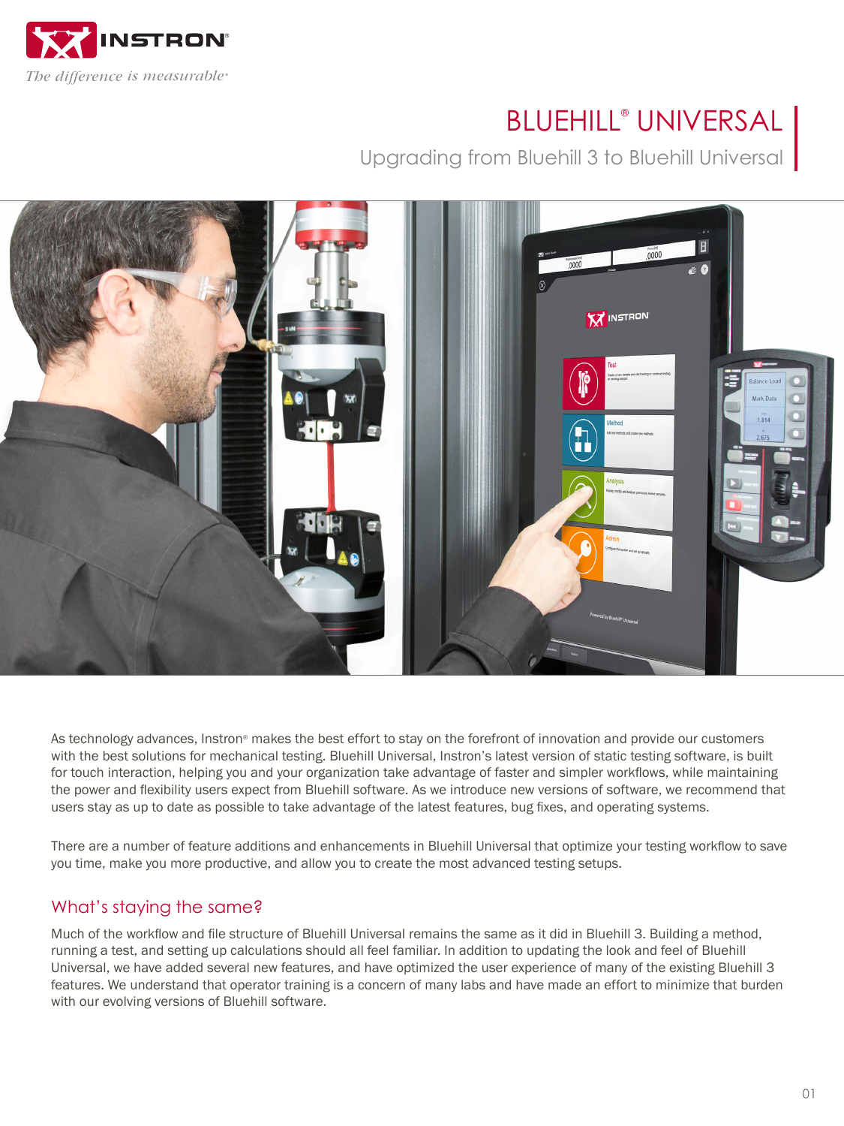

# BLUEHILL® UNIVERSAL

Upgrading from Bluehill 3 to Bluehill Universal



As technology advances, Instron® makes the best effort to stay on the forefront of innovation and provide our customers with the best solutions for mechanical testing. Bluehill Universal, Instron's latest version of static testing software, is built for touch interaction, helping you and your organization take advantage of faster and simpler workflows, while maintaining the power and flexibility users expect from Bluehill software. As we introduce new versions of software, we recommend that users stay as up to date as possible to take advantage of the latest features, bug fixes, and operating systems.

There are a number of feature additions and enhancements in Bluehill Universal that optimize your testing workflow to save you time, make you more productive, and allow you to create the most advanced testing setups.

### What's staying the same?

Much of the workflow and file structure of Bluehill Universal remains the same as it did in Bluehill 3. Building a method, running a test, and setting up calculations should all feel familiar. In addition to updating the look and feel of Bluehill Universal, we have added several new features, and have optimized the user experience of many of the existing Bluehill 3 features. We understand that operator training is a concern of many labs and have made an effort to minimize that burden with our evolving versions of Bluehill software.